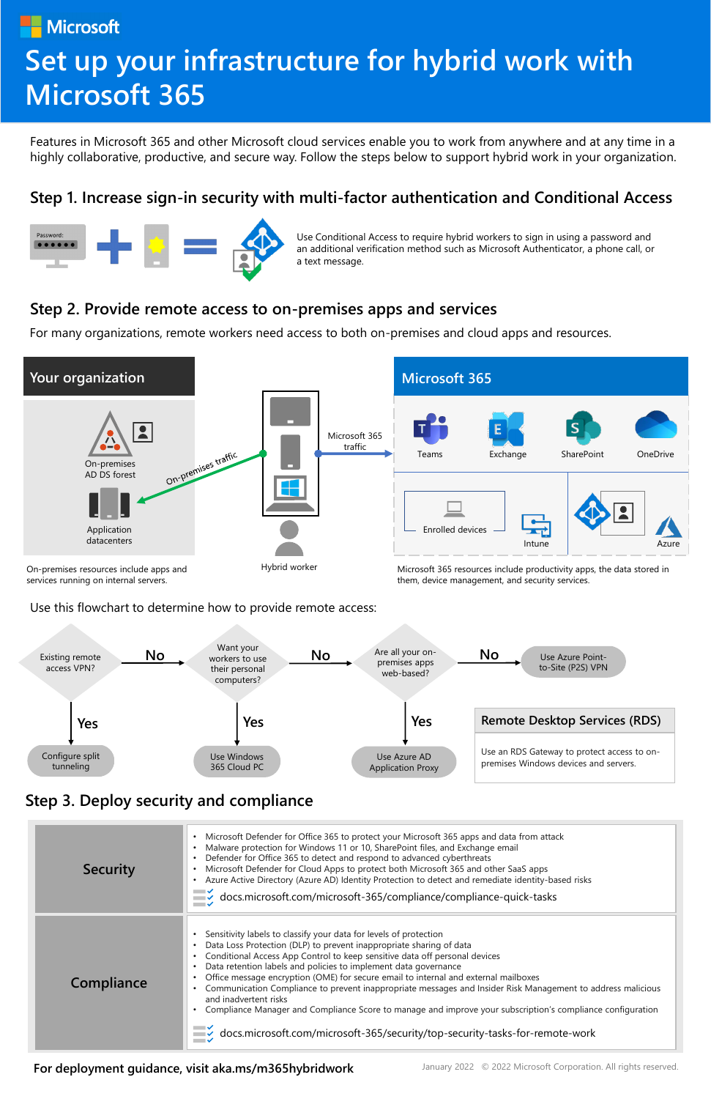**[For deployment guidance, visit aka.ms/m365hybridwork](https://aka.ms/m365hybridwork)**

January 2022 © 2022 Microsoft Corporation. All rights reserved.

Features in Microsoft 365 and other Microsoft cloud services enable you to work from anywhere and at any time in a highly collaborative, productive, and secure way. Follow the steps below to support hybrid work in your organization.

# **[Step 1. Increase sign-in security with multi-factor authentication and Conditional Access](https://docs.microsoft.com/microsoft-365/solutions/empower-people-to-work-remotely-secure-sign-in)**



### **[Step 2. Provide remote access to on-premises apps and services](https://docs.microsoft.com/microsoft-365/solutions/empower-people-to-work-remotely-remote-access)**





For many organizations, remote workers need access to both on-premises and cloud apps and resources.

#### **[Step 3. Deploy security and compliance](https://docs.microsoft.com/microsoft-365/solutions/empower-people-to-work-remotely-security-compliance)**

Use this flowchart to determine how to provide remote access:

| <b>Security</b> | Microsoft Defender for Office 365 to protect your Microsoft 365 apps and data from attack<br>Malware protection for Windows 11 or 10, SharePoint files, and Exchange email<br>Defender for Office 365 to detect and respond to advanced cyberthreats<br>Microsoft Defender for Cloud Apps to protect both Microsoft 365 and other SaaS apps<br>Azure Active Directory (Azure AD) Identity Protection to detect and remediate identity-based risks<br>$\blacktriangleright$ docs.microsoft.com/microsoft-365/compliance/compliance-quick-tasks                                                                                                                                                                          |
|-----------------|------------------------------------------------------------------------------------------------------------------------------------------------------------------------------------------------------------------------------------------------------------------------------------------------------------------------------------------------------------------------------------------------------------------------------------------------------------------------------------------------------------------------------------------------------------------------------------------------------------------------------------------------------------------------------------------------------------------------|
| Compliance      | Sensitivity labels to classify your data for levels of protection<br>Data Loss Protection (DLP) to prevent inappropriate sharing of data<br>Conditional Access App Control to keep sensitive data off personal devices<br>Data retention labels and policies to implement data governance<br>Office message encryption (OME) for secure email to internal and external mailboxes<br>Communication Compliance to prevent inappropriate messages and Insider Risk Management to address malicious<br>and inadvertent risks<br>Compliance Manager and Compliance Score to manage and improve your subscription's compliance configuration<br>docs.microsoft.com/microsoft-365/security/top-security-tasks-for-remote-work |

Use Conditional Access to require hybrid workers to sign in using a password and an additional verification method such as Microsoft Authenticator, a phone call, or a text message.

Microsoft

# **[Set up your infrastructure for hybrid work with](https://aka.ms/m365eremoteworkers)  Microsoft 365**